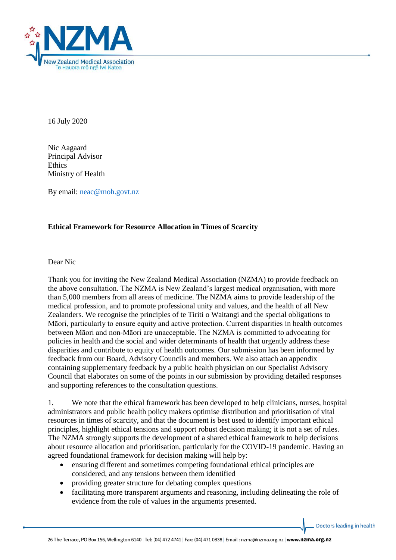

16 July 2020

Nic Aagaard Principal Advisor Ethics Ministry of Health

By email: [neac@moh.govt.nz](mailto:neac@moh.govt.nz)

## **Ethical Framework for Resource Allocation in Times of Scarcity**

Dear Nic

Thank you for inviting the New Zealand Medical Association (NZMA) to provide feedback on the above consultation. The NZMA is New Zealand's largest medical organisation, with more than 5,000 members from all areas of medicine. The NZMA aims to provide leadership of the medical profession, and to promote professional unity and values, and the health of all New Zealanders. We recognise the principles of te Tiriti o Waitangi and the special obligations to Māori, particularly to ensure equity and active protection. Current disparities in health outcomes between Māori and non-Māori are unacceptable. The NZMA is committed to advocating for policies in health and the social and wider determinants of health that urgently address these disparities and contribute to equity of health outcomes. Our submission has been informed by feedback from our Board, Advisory Councils and members. We also attach an appendix containing supplementary feedback by a public health physician on our Specialist Advisory Council that elaborates on some of the points in our submission by providing detailed responses and supporting references to the consultation questions.

1. We note that the ethical framework has been developed to help clinicians, nurses, hospital administrators and public health policy makers optimise distribution and prioritisation of vital resources in times of scarcity, and that the document is best used to identify important ethical principles, highlight ethical tensions and support robust decision making; it is not a set of rules. The NZMA strongly supports the development of a shared ethical framework to help decisions about resource allocation and prioritisation, particularly for the COVID-19 pandemic. Having an agreed foundational framework for decision making will help by:

- ensuring different and sometimes competing foundational ethical principles are considered, and any tensions between them identified
- providing greater structure for debating complex questions
- facilitating more transparent arguments and reasoning, including delineating the role of evidence from the role of values in the arguments presented.

Doctors leading in health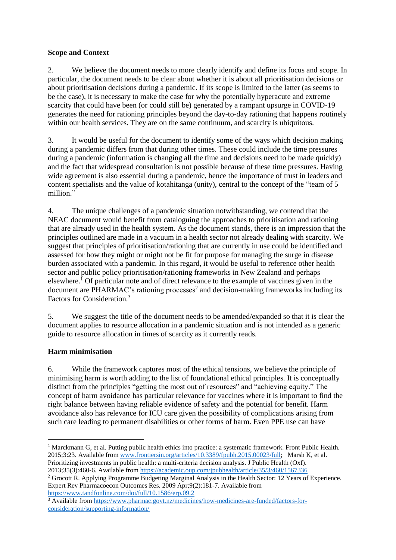## **Scope and Context**

2. We believe the document needs to more clearly identify and define its focus and scope. In particular, the document needs to be clear about whether it is about all prioritisation decisions or about prioritisation decisions during a pandemic. If its scope is limited to the latter (as seems to be the case), it is necessary to make the case for why the potentially hyperacute and extreme scarcity that could have been (or could still be) generated by a rampant upsurge in COVID-19 generates the need for rationing principles beyond the day-to-day rationing that happens routinely within our health services. They are on the same continuum, and scarcity is ubiquitous.

3. It would be useful for the document to identify some of the ways which decision making during a pandemic differs from that during other times. These could include the time pressures during a pandemic (information is changing all the time and decisions need to be made quickly) and the fact that widespread consultation is not possible because of these time pressures. Having wide agreement is also essential during a pandemic, hence the importance of trust in leaders and content specialists and the value of kotahitanga (unity), central to the concept of the "team of 5 million."

4. The unique challenges of a pandemic situation notwithstanding, we contend that the NEAC document would benefit from cataloguing the approaches to prioritisation and rationing that are already used in the health system. As the document stands, there is an impression that the principles outlined are made in a vacuum in a health sector not already dealing with scarcity. We suggest that principles of prioritisation/rationing that are currently in use could be identified and assessed for how they might or might not be fit for purpose for managing the surge in disease burden associated with a pandemic. In this regard, it would be useful to reference other health sector and public policy prioritisation/rationing frameworks in New Zealand and perhaps elsewhere.<sup>1</sup> Of particular note and of direct relevance to the example of vaccines given in the document are PHARMAC's rationing processes<sup>2</sup> and decision-making frameworks including its Factors for Consideration.<sup>3</sup>

5. We suggest the title of the document needs to be amended/expanded so that it is clear the document applies to resource allocation in a pandemic situation and is not intended as a generic guide to resource allocation in times of scarcity as it currently reads.

# **Harm minimisation**

 $\overline{a}$ 

6. While the framework captures most of the ethical tensions, we believe the principle of minimising harm is worth adding to the list of foundational ethical principles. It is conceptually distinct from the principles "getting the most out of resources" and "achieving equity." The concept of harm avoidance has particular relevance for vaccines where it is important to find the right balance between having reliable evidence of safety and the potential for benefit. Harm avoidance also has relevance for ICU care given the possibility of complications arising from such care leading to permanent disabilities or other forms of harm. Even PPE use can have

<sup>&</sup>lt;sup>1</sup> Marckmann G, et al. Putting public health ethics into practice: a systematic framework. Front Public Health. 2015;3:23. Available from [www.frontiersin.org/articles/10.3389/fpubh.2015.00023/full;](http://www.frontiersin.org/articles/10.3389/fpubh.2015.00023/full) Marsh K, et al. Prioritizing investments in public health: a multi-criteria decision analysis. J Public Health (Oxf). 2013;35(3):460-6. Available from<https://academic.oup.com/jpubhealth/article/35/3/460/1567336>

<sup>&</sup>lt;sup>2</sup> Grocott R. Applying Programme Budgeting Marginal Analysis in the Health Sector: 12 Years of Experience. Expert Rev Pharmacoecon Outcomes Res. 2009 Apr;9(2):181-7. Available from <https://www.tandfonline.com/doi/full/10.1586/erp.09.2>

<sup>&</sup>lt;sup>3</sup> Available from [https://www.pharmac.govt.nz/medicines/how-medicines-are-funded/factors-for](https://www.pharmac.govt.nz/medicines/how-medicines-are-funded/factors-for-consideration/supporting-information/)[consideration/supporting-information/](https://www.pharmac.govt.nz/medicines/how-medicines-are-funded/factors-for-consideration/supporting-information/)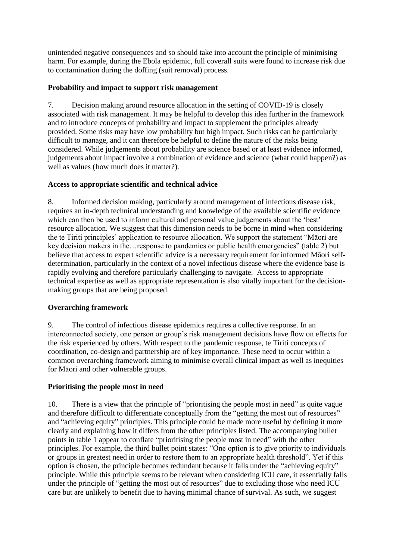unintended negative consequences and so should take into account the principle of minimising harm. For example, during the Ebola epidemic, full coverall suits were found to increase risk due to contamination during the doffing (suit removal) process.

## **Probability and impact to support risk management**

7. Decision making around resource allocation in the setting of COVID-19 is closely associated with risk management. It may be helpful to develop this idea further in the framework and to introduce concepts of probability and impact to supplement the principles already provided. Some risks may have low probability but high impact. Such risks can be particularly difficult to manage, and it can therefore be helpful to define the nature of the risks being considered. While judgements about probability are science based or at least evidence informed, judgements about impact involve a combination of evidence and science (what could happen?) as well as values (how much does it matter?).

# **Access to appropriate scientific and technical advice**

8. Informed decision making, particularly around management of infectious disease risk, requires an in-depth technical understanding and knowledge of the available scientific evidence which can then be used to inform cultural and personal value judgements about the 'best' resource allocation. We suggest that this dimension needs to be borne in mind when considering the te Tiriti principles' application to resource allocation. We support the statement "Māori are key decision makers in the…response to pandemics or public health emergencies" (table 2) but believe that access to expert scientific advice is a necessary requirement for informed Māori selfdetermination, particularly in the context of a novel infectious disease where the evidence base is rapidly evolving and therefore particularly challenging to navigate. Access to appropriate technical expertise as well as appropriate representation is also vitally important for the decisionmaking groups that are being proposed.

# **Overarching framework**

9. The control of infectious disease epidemics requires a collective response. In an interconnected society, one person or group's risk management decisions have flow on effects for the risk experienced by others. With respect to the pandemic response, te Tiriti concepts of coordination, co-design and partnership are of key importance. These need to occur within a common overarching framework aiming to minimise overall clinical impact as well as inequities for Māori and other vulnerable groups.

# **Prioritising the people most in need**

10. There is a view that the principle of "prioritising the people most in need" is quite vague and therefore difficult to differentiate conceptually from the "getting the most out of resources" and "achieving equity" principles. This principle could be made more useful by defining it more clearly and explaining how it differs from the other principles listed. The accompanying bullet points in table 1 appear to conflate "prioritising the people most in need" with the other principles. For example, the third bullet point states: "One option is to give priority to individuals or groups in greatest need in order to restore them to an appropriate health threshold". Yet if this option is chosen, the principle becomes redundant because it falls under the "achieving equity" principle. While this principle seems to be relevant when considering ICU care, it essentially falls under the principle of "getting the most out of resources" due to excluding those who need ICU care but are unlikely to benefit due to having minimal chance of survival. As such, we suggest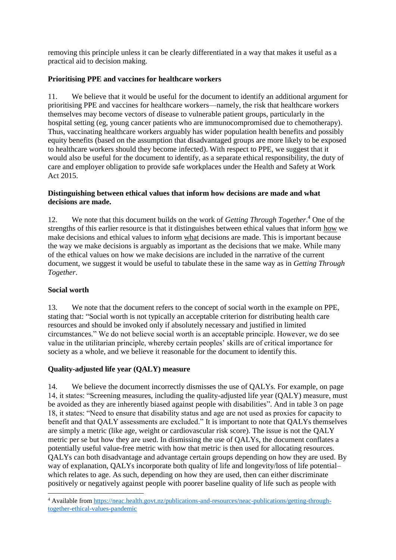removing this principle unless it can be clearly differentiated in a way that makes it useful as a practical aid to decision making.

## **Prioritising PPE and vaccines for healthcare workers**

11. We believe that it would be useful for the document to identify an additional argument for prioritising PPE and vaccines for healthcare workers—namely, the risk that healthcare workers themselves may become vectors of disease to vulnerable patient groups, particularly in the hospital setting (eg, young cancer patients who are immunocompromised due to chemotherapy). Thus, vaccinating healthcare workers arguably has wider population health benefits and possibly equity benefits (based on the assumption that disadvantaged groups are more likely to be exposed to healthcare workers should they become infected). With respect to PPE, we suggest that it would also be useful for the document to identify, as a separate ethical responsibility, the duty of care and employer obligation to provide safe workplaces under the Health and Safety at Work Act 2015.

#### **Distinguishing between ethical values that inform how decisions are made and what decisions are made.**

12. We note that this document builds on the work of *Getting Through Together*. <sup>4</sup> One of the strengths of this earlier resource is that it distinguishes between ethical values that inform how we make decisions and ethical values to inform what decisions are made. This is important because the way we make decisions is arguably as important as the decisions that we make. While many of the ethical values on how we make decisions are included in the narrative of the current document, we suggest it would be useful to tabulate these in the same way as in *Getting Through Together*.

#### **Social worth**

1

13. We note that the document refers to the concept of social worth in the example on PPE, stating that: "Social worth is not typically an acceptable criterion for distributing health care resources and should be invoked only if absolutely necessary and justified in limited circumstances." We do not believe social worth is an acceptable principle. However, we do see value in the utilitarian principle, whereby certain peoples' skills are of critical importance for society as a whole, and we believe it reasonable for the document to identify this.

# **Quality-adjusted life year (QALY) measure**

14. We believe the document incorrectly dismisses the use of QALYs. For example, on page 14, it states: "Screening measures, including the quality-adjusted life year (QALY) measure, must be avoided as they are inherently biased against people with disabilities". And in table 3 on page 18, it states: "Need to ensure that disability status and age are not used as proxies for capacity to benefit and that QALY assessments are excluded." It is important to note that QALYs themselves are simply a metric (like age, weight or cardiovascular risk score). The issue is not the QALY metric per se but how they are used. In dismissing the use of QALYs, the document conflates a potentially useful value-free metric with how that metric is then used for allocating resources. QALYs can both disadvantage and advantage certain groups depending on how they are used. By way of explanation, QALYs incorporate both quality of life and longevity/loss of life potential– which relates to age. As such, depending on how they are used, then can either discriminate positively or negatively against people with poorer baseline quality of life such as people with

<sup>4</sup> Available from [https://neac.health.govt.nz/publications-and-resources/neac-publications/getting-through](https://neac.health.govt.nz/publications-and-resources/neac-publications/getting-through-together-ethical-values-pandemic)[together-ethical-values-pandemic](https://neac.health.govt.nz/publications-and-resources/neac-publications/getting-through-together-ethical-values-pandemic)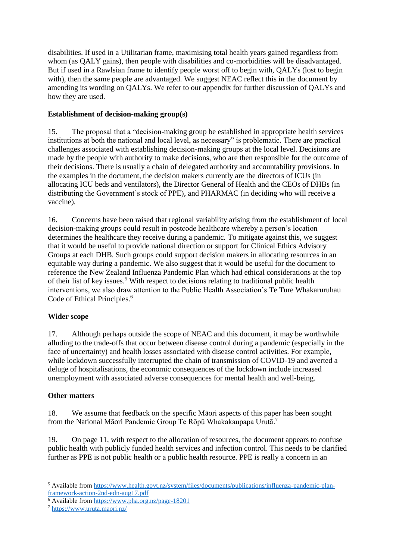disabilities. If used in a Utilitarian frame, maximising total health years gained regardless from whom (as OALY gains), then people with disabilities and co-morbidities will be disadvantaged. But if used in a Rawlsian frame to identify people worst off to begin with, QALYs (lost to begin with), then the same people are advantaged. We suggest NEAC reflect this in the document by amending its wording on QALYs. We refer to our appendix for further discussion of QALYs and how they are used.

## **Establishment of decision-making group(s)**

15. The proposal that a "decision-making group be established in appropriate health services institutions at both the national and local level, as necessary" is problematic. There are practical challenges associated with establishing decision-making groups at the local level. Decisions are made by the people with authority to make decisions, who are then responsible for the outcome of their decisions. There is usually a chain of delegated authority and accountability provisions. In the examples in the document, the decision makers currently are the directors of ICUs (in allocating ICU beds and ventilators), the Director General of Health and the CEOs of DHBs (in distributing the Government's stock of PPE), and PHARMAC (in deciding who will receive a vaccine).

16. Concerns have been raised that regional variability arising from the establishment of local decision-making groups could result in postcode healthcare whereby a person's location determines the healthcare they receive during a pandemic. To mitigate against this, we suggest that it would be useful to provide national direction or support for Clinical Ethics Advisory Groups at each DHB. Such groups could support decision makers in allocating resources in an equitable way during a pandemic. We also suggest that it would be useful for the document to reference the New Zealand Influenza Pandemic Plan which had ethical considerations at the top of their list of key issues.<sup>5</sup> With respect to decisions relating to traditional public health interventions, we also draw attention to the Public Health Association's Te Ture Whakaruruhau Code of Ethical Principles. 6

# **Wider scope**

17. Although perhaps outside the scope of NEAC and this document, it may be worthwhile alluding to the trade-offs that occur between disease control during a pandemic (especially in the face of uncertainty) and health losses associated with disease control activities. For example, while lockdown successfully interrupted the chain of transmission of COVID-19 and averted a deluge of hospitalisations, the economic consequences of the lockdown include increased unemployment with associated adverse consequences for mental health and well-being.

# **Other matters**

**.** 

18. We assume that feedback on the specific Māori aspects of this paper has been sought from the National Māori Pandemic Group Te Rōpū Whakakaupapa Urutā.<sup>7</sup>

19. On page 11, with respect to the allocation of resources, the document appears to confuse public health with publicly funded health services and infection control. This needs to be clarified further as PPE is not public health or a public health resource. PPE is really a concern in an

<sup>5</sup> Available from [https://www.health.govt.nz/system/files/documents/publications/influenza-pandemic-plan](https://www.health.govt.nz/system/files/documents/publications/influenza-pandemic-plan-framework-action-2nd-edn-aug17.pdf)[framework-action-2nd-edn-aug17.pdf](https://www.health.govt.nz/system/files/documents/publications/influenza-pandemic-plan-framework-action-2nd-edn-aug17.pdf)

<sup>6</sup> Available from<https://www.pha.org.nz/page-18201>

<sup>7</sup> <https://www.uruta.maori.nz/>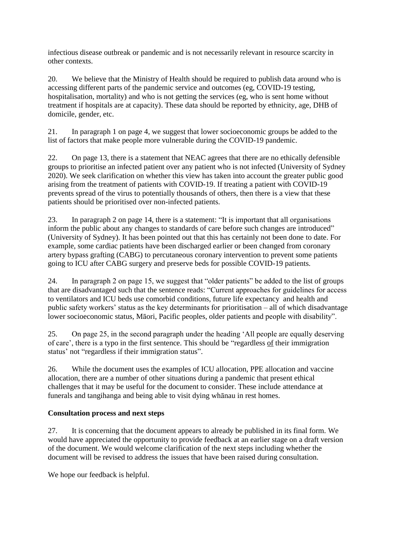infectious disease outbreak or pandemic and is not necessarily relevant in resource scarcity in other contexts.

20. We believe that the Ministry of Health should be required to publish data around who is accessing different parts of the pandemic service and outcomes (eg, COVID-19 testing, hospitalisation, mortality) and who is not getting the services (eg, who is sent home without treatment if hospitals are at capacity). These data should be reported by ethnicity, age, DHB of domicile, gender, etc.

21. In paragraph 1 on page 4, we suggest that lower socioeconomic groups be added to the list of factors that make people more vulnerable during the COVID-19 pandemic.

22. On page 13, there is a statement that NEAC agrees that there are no ethically defensible groups to prioritise an infected patient over any patient who is not infected (University of Sydney 2020). We seek clarification on whether this view has taken into account the greater public good arising from the treatment of patients with COVID-19. If treating a patient with COVID-19 prevents spread of the virus to potentially thousands of others, then there is a view that these patients should be prioritised over non-infected patients.

23. In paragraph 2 on page 14, there is a statement: "It is important that all organisations inform the public about any changes to standards of care before such changes are introduced" (University of Sydney). It has been pointed out that this has certainly not been done to date. For example, some cardiac patients have been discharged earlier or been changed from coronary artery bypass grafting (CABG) to percutaneous coronary intervention to prevent some patients going to ICU after CABG surgery and preserve beds for possible COVID-19 patients.

24. In paragraph 2 on page 15, we suggest that "older patients" be added to the list of groups that are disadvantaged such that the sentence reads: "Current approaches for guidelines for access to ventilators and ICU beds use comorbid conditions, future life expectancy and health and public safety workers' status as the key determinants for prioritisation – all of which disadvantage lower socioeconomic status, Māori, Pacific peoples, older patients and people with disability".

25. On page 25, in the second paragraph under the heading 'All people are equally deserving of care', there is a typo in the first sentence. This should be "regardless of their immigration status' not "regardless if their immigration status".

26. While the document uses the examples of ICU allocation, PPE allocation and vaccine allocation, there are a number of other situations during a pandemic that present ethical challenges that it may be useful for the document to consider. These include attendance at funerals and tangihanga and being able to visit dying whānau in rest homes.

# **Consultation process and next steps**

27. It is concerning that the document appears to already be published in its final form. We would have appreciated the opportunity to provide feedback at an earlier stage on a draft version of the document. We would welcome clarification of the next steps including whether the document will be revised to address the issues that have been raised during consultation.

We hope our feedback is helpful.